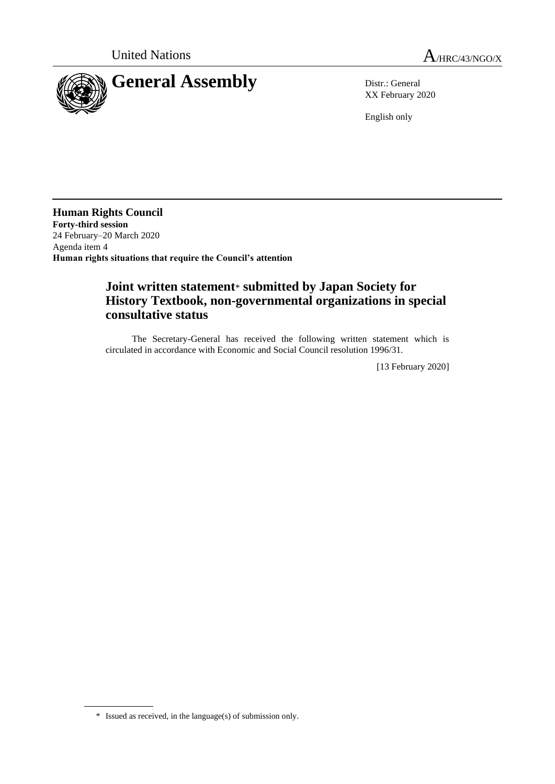

XX February 2020

English only

**Human Rights Council Forty-third session** 24 February–20 March 2020 Agenda item 4 **Human rights situations that require the Council's attention**

## **Joint written statement**\* **submitted by Japan Society for History Textbook, non-governmental organizations in special consultative status**

The Secretary-General has received the following written statement which is circulated in accordance with Economic and Social Council resolution 1996/31.

[13 February 2020]

<sup>\*</sup> Issued as received, in the language(s) of submission only.